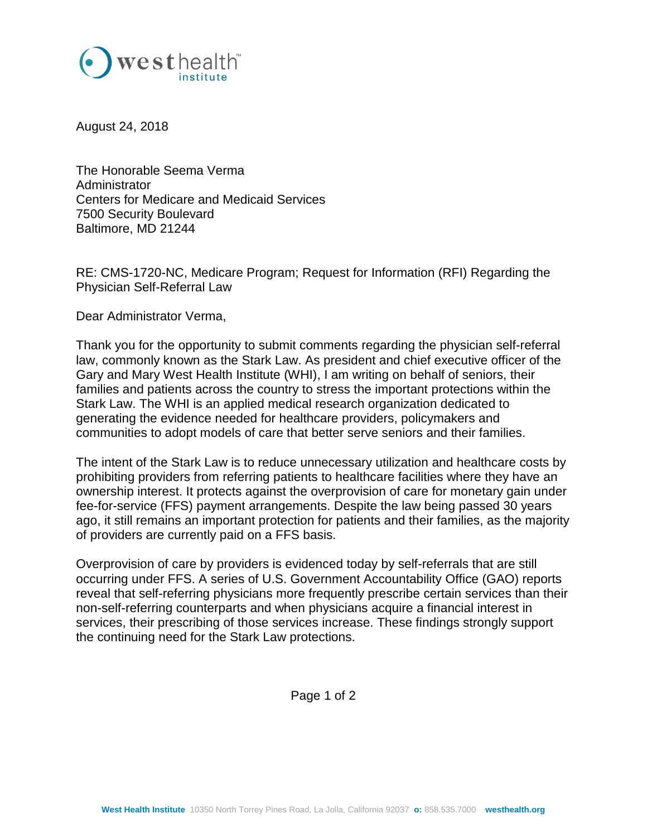

August 24, 2018

The Honorable Seema Verma Administrator Centers for Medicare and Medicaid Services 7500 Security Boulevard Baltimore, MD 21244

RE: CMS-1720-NC, Medicare Program; Request for Information (RFI) Regarding the Physician Self-Referral Law

Dear Administrator Verma,

Thank you for the opportunity to submit comments regarding the physician self-referral law, commonly known as the Stark Law. As president and chief executive officer of the Gary and Mary West Health Institute (WHI), I am writing on behalf of seniors, their families and patients across the country to stress the important protections within the Stark Law. The WHI is an applied medical research organization dedicated to generating the evidence needed for healthcare providers, policymakers and communities to adopt models of care that better serve seniors and their families.

The intent of the Stark Law is to reduce unnecessary utilization and healthcare costs by prohibiting providers from referring patients to healthcare facilities where they have an ownership interest. It protects against the overprovision of care for monetary gain under fee-for-service (FFS) payment arrangements. Despite the law being passed 30 years ago, it still remains an important protection for patients and their families, as the majority of providers are currently paid on a FFS basis.

Overprovision of care by providers is evidenced today by self-referrals that are still occurring under FFS. A series of U.S. Government Accountability Office (GAO) reports reveal that self-referring physicians more frequently prescribe certain services than their non-self-referring counterparts and when physicians acquire a financial interest in services, their prescribing of those services increase. These findings strongly support the continuing need for the Stark Law protections.

Page 1 of 2